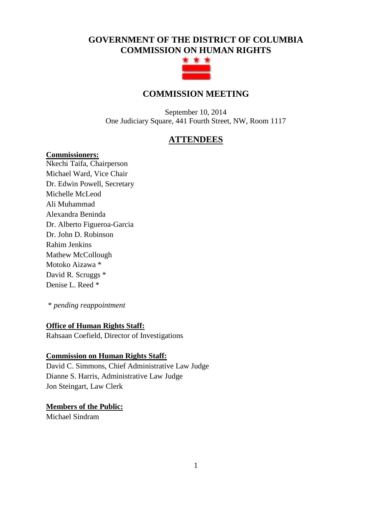# **GOVERNMENT OF THE DISTRICT OF COLUMBIA COMMISSION ON HUMAN RIGHTS**



# **COMMISSION MEETING**

September 10, 2014 One Judiciary Square, 441 Fourth Street, NW, Room 1117

# **ATTENDEES**

#### **Commissioners:**

Nkechi Taifa, Chairperson Michael Ward, Vice Chair Dr. Edwin Powell, Secretary Michelle McLeod Ali Muhammad Alexandra Beninda Dr. Alberto Figueroa-Garcia Dr. John D. Robinson Rahim Jenkins Mathew McCollough Motoko Aizawa \* David R. Scruggs \* Denise L. Reed \*

\* *pending reappointment*

## **Office of Human Rights Staff:**

Rahsaan Coefield, Director of Investigations

## **Commission on Human Rights Staff:**

David C. Simmons, Chief Administrative Law Judge Dianne S. Harris, Administrative Law Judge Jon Steingart, Law Clerk

## **Members of the Public:**

Michael Sindram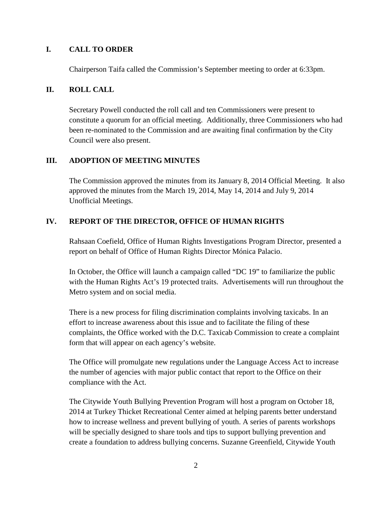# **I. CALL TO ORDER**

Chairperson Taifa called the Commission's September meeting to order at 6:33pm.

# **II. ROLL CALL**

Secretary Powell conducted the roll call and ten Commissioners were present to constitute a quorum for an official meeting. Additionally, three Commissioners who had been re-nominated to the Commission and are awaiting final confirmation by the City Council were also present.

## **III. ADOPTION OF MEETING MINUTES**

The Commission approved the minutes from its January 8, 2014 Official Meeting. It also approved the minutes from the March 19, 2014, May 14, 2014 and July 9, 2014 Unofficial Meetings.

## **IV. REPORT OF THE DIRECTOR, OFFICE OF HUMAN RIGHTS**

Rahsaan Coefield, Office of Human Rights Investigations Program Director, presented a report on behalf of Office of Human Rights Director Mónica Palacio.

In October, the Office will launch a campaign called "DC 19" to familiarize the public with the Human Rights Act's 19 protected traits. Advertisements will run throughout the Metro system and on social media.

There is a new process for filing discrimination complaints involving taxicabs. In an effort to increase awareness about this issue and to facilitate the filing of these complaints, the Office worked with the D.C. Taxicab Commission to create a complaint form that will appear on each agency's website.

The Office will promulgate new regulations under the Language Access Act to increase the number of agencies with major public contact that report to the Office on their compliance with the Act.

The Citywide Youth Bullying Prevention Program will host a program on October 18, 2014 at Turkey Thicket Recreational Center aimed at helping parents better understand how to increase wellness and prevent bullying of youth. A series of parents workshops will be specially designed to share tools and tips to support bullying prevention and create a foundation to address bullying concerns. Suzanne Greenfield, Citywide Youth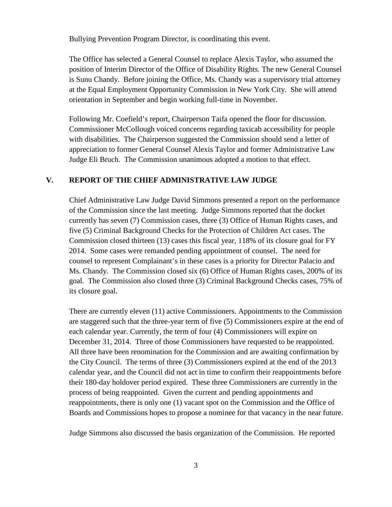Bullying Prevention Program Director, is coordinating this event.

The Office has selected a General Counsel to replace Alexis Taylor, who assumed the position of Interim Director of the Office of Disability Rights. The new General Counsel is Sunu Chandy. Before joining the Office, Ms. Chandy was a supervisory trial attorney at the Equal Employment Opportunity Commission in New York City. She will attend orientation in September and begin working full-time in November.

Following Mr. Coefield's report, Chairperson Taifa opened the floor for discussion. Commissioner McCollough voiced concerns regarding taxicab accessibility for people with disabilities. The Chairperson suggested the Commission should send a letter of appreciation to former General Counsel Alexis Taylor and former Administrative Law Judge Eli Bruch. The Commission unanimous adopted a motion to that effect.

### **V. REPORT OF THE CHIEF ADMINISTRATIVE LAW JUDGE**

Chief Administrative Law Judge David Simmons presented a report on the performance of the Commission since the last meeting. Judge Simmons reported that the docket currently has seven (7) Commission cases, three (3) Office of Human Rights cases, and five (5) Criminal Background Checks for the Protection of Children Act cases. The Commission closed thirteen (13) cases this fiscal year, 118% of its closure goal for FY 2014. Some cases were remanded pending appointment of counsel. The need for counsel to represent Complainant's in these cases is a priority for Director Palacio and Ms. Chandy. The Commission closed six (6) Office of Human Rights cases, 200% of its goal. The Commission also closed three (3) Criminal Background Checks cases, 75% of its closure goal.

There are currently eleven (11) active Commissioners. Appointments to the Commission are staggered such that the three-year term of five (5) Commissioners expire at the end of each calendar year. Currently, the term of four (4) Commissioners will expire on December 31, 2014. Three of those Commissioners have requested to be reappointed. All three have been renomination for the Commission and are awaiting confirmation by the City Council. The terms of three (3) Commissioners expired at the end of the 2013 calendar year, and the Council did not act in time to confirm their reappointments before their 180-day holdover period expired. These three Commissioners are currently in the process of being reappointed. Given the current and pending appointments and reappointments, there is only one (1) vacant spot on the Commission and the Office of Boards and Commissions hopes to propose a nominee for that vacancy in the near future.

Judge Simmons also discussed the basis organization of the Commission. He reported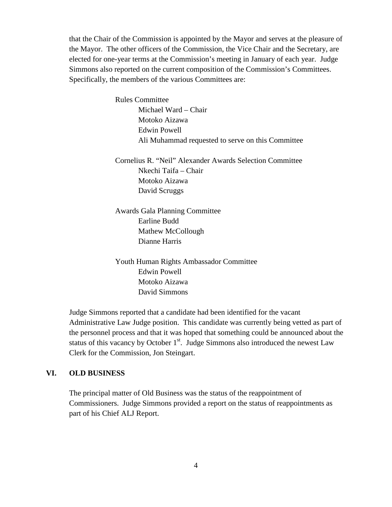that the Chair of the Commission is appointed by the Mayor and serves at the pleasure of the Mayor. The other officers of the Commission, the Vice Chair and the Secretary, are elected for one-year terms at the Commission's meeting in January of each year. Judge Simmons also reported on the current composition of the Commission's Committees. Specifically, the members of the various Committees are:

> Rules Committee Michael Ward – Chair Motoko Aizawa Edwin Powell Ali Muhammad requested to serve on this Committee

> Cornelius R. "Neil" Alexander Awards Selection Committee Nkechi Taifa – Chair Motoko Aizawa David Scruggs

Awards Gala Planning Committee Earline Budd Mathew McCollough Dianne Harris

Youth Human Rights Ambassador Committee Edwin Powell Motoko Aizawa David Simmons

Judge Simmons reported that a candidate had been identified for the vacant Administrative Law Judge position. This candidate was currently being vetted as part of the personnel process and that it was hoped that something could be announced about the status of this vacancy by October  $1<sup>st</sup>$ . Judge Simmons also introduced the newest Law Clerk for the Commission, Jon Steingart.

## **VI. OLD BUSINESS**

The principal matter of Old Business was the status of the reappointment of Commissioners. Judge Simmons provided a report on the status of reappointments as part of his Chief ALJ Report.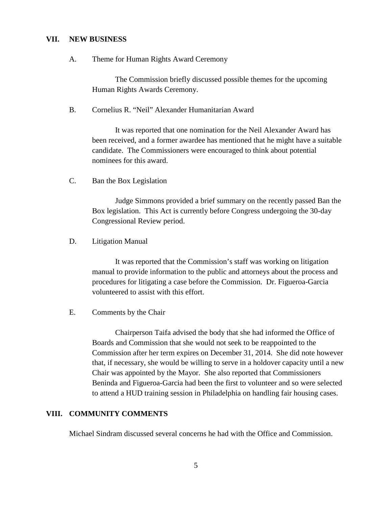#### **VII. NEW BUSINESS**

A. Theme for Human Rights Award Ceremony

The Commission briefly discussed possible themes for the upcoming Human Rights Awards Ceremony.

B. Cornelius R. "Neil" Alexander Humanitarian Award

It was reported that one nomination for the Neil Alexander Award has been received, and a former awardee has mentioned that he might have a suitable candidate. The Commissioners were encouraged to think about potential nominees for this award.

C. Ban the Box Legislation

Judge Simmons provided a brief summary on the recently passed Ban the Box legislation. This Act is currently before Congress undergoing the 30-day Congressional Review period.

D. Litigation Manual

It was reported that the Commission's staff was working on litigation manual to provide information to the public and attorneys about the process and procedures for litigating a case before the Commission. Dr. Figueroa-Garcia volunteered to assist with this effort.

E. Comments by the Chair

Chairperson Taifa advised the body that she had informed the Office of Boards and Commission that she would not seek to be reappointed to the Commission after her term expires on December 31, 2014. She did note however that, if necessary, she would be willing to serve in a holdover capacity until a new Chair was appointed by the Mayor. She also reported that Commissioners Beninda and Figueroa-Garcia had been the first to volunteer and so were selected to attend a HUD training session in Philadelphia on handling fair housing cases.

#### **VIII. COMMUNITY COMMENTS**

Michael Sindram discussed several concerns he had with the Office and Commission.